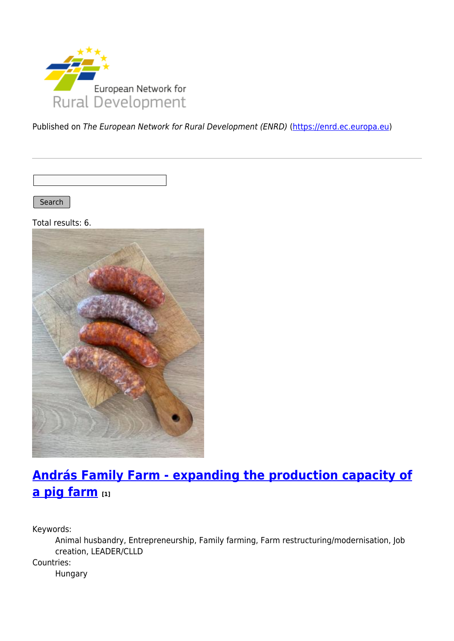

Published on The European Network for Rural Development (ENRD) [\(https://enrd.ec.europa.eu](https://enrd.ec.europa.eu))

Search |

Total results: 6.



# **[András Family Farm - expanding the production capacity of](https://enrd.ec.europa.eu/projects-practice/andras-family-farm-expanding-production-capacity-pig-farm_en) [a pig farm](https://enrd.ec.europa.eu/projects-practice/andras-family-farm-expanding-production-capacity-pig-farm_en) [1]**

Keywords:

Animal husbandry, Entrepreneurship, Family farming, Farm restructuring/modernisation, Job creation, LEADER/CLLD Countries: Hungary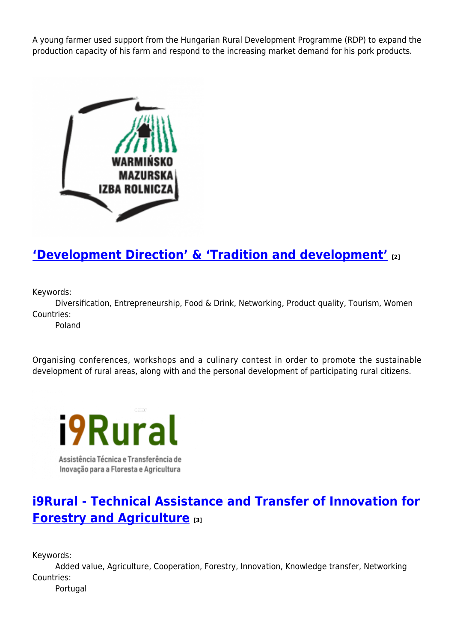A young farmer used support from the Hungarian Rural Development Programme (RDP) to expand the production capacity of his farm and respond to the increasing market demand for his pork products.



## **['Development Direction' & 'Tradition and development'](https://enrd.ec.europa.eu/projects-practice/development-direction-tradition-and-development_en) [2]**

Keywords:

Diversification, Entrepreneurship, Food & Drink, Networking, Product quality, Tourism, Women Countries:

Poland

Organising conferences, workshops and a culinary contest in order to promote the sustainable development of rural areas, along with and the personal development of participating rural citizens.



### **[i9Rural - Technical Assistance and Transfer of Innovation for](https://enrd.ec.europa.eu/projects-practice/i9rural-technical-assistance-and-transfer-innovation-forestry-and-agriculture_en) [Forestry and Agriculture](https://enrd.ec.europa.eu/projects-practice/i9rural-technical-assistance-and-transfer-innovation-forestry-and-agriculture_en) [3]**

Keywords:

Added value, Agriculture, Cooperation, Forestry, Innovation, Knowledge transfer, Networking Countries:

Portugal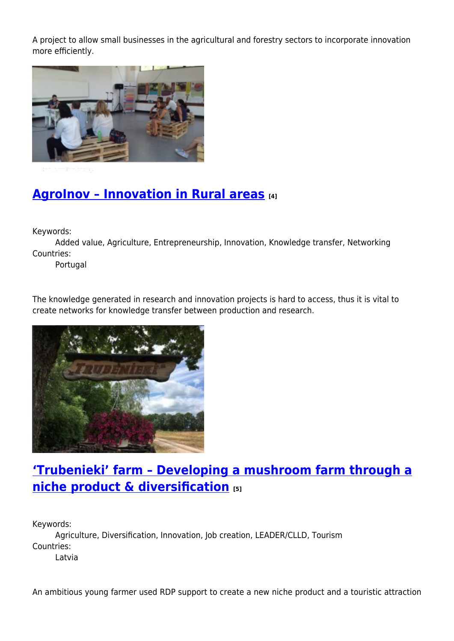A project to allow small businesses in the agricultural and forestry sectors to incorporate innovation more efficiently.



## **[AgroInov – Innovation in Rural areas](https://enrd.ec.europa.eu/projects-practice/agroinov-innovation-rural-areas_en) [4]**

Keywords:

Added value, Agriculture, Entrepreneurship, Innovation, Knowledge transfer, Networking Countries:

Portugal

The knowledge generated in research and innovation projects is hard to access, thus it is vital to create networks for knowledge transfer between production and research.



### **['Trubenieki' farm – Developing a mushroom farm through a](https://enrd.ec.europa.eu/projects-practice/trubenieki-farm-developing-mushroom-farm-through-niche-product-diversification_en) [niche product & diversification](https://enrd.ec.europa.eu/projects-practice/trubenieki-farm-developing-mushroom-farm-through-niche-product-diversification_en) [5]**

Keywords: Agriculture, Diversification, Innovation, Job creation, LEADER/CLLD, Tourism Countries: Latvia

An ambitious young farmer used RDP support to create a new niche product and a touristic attraction